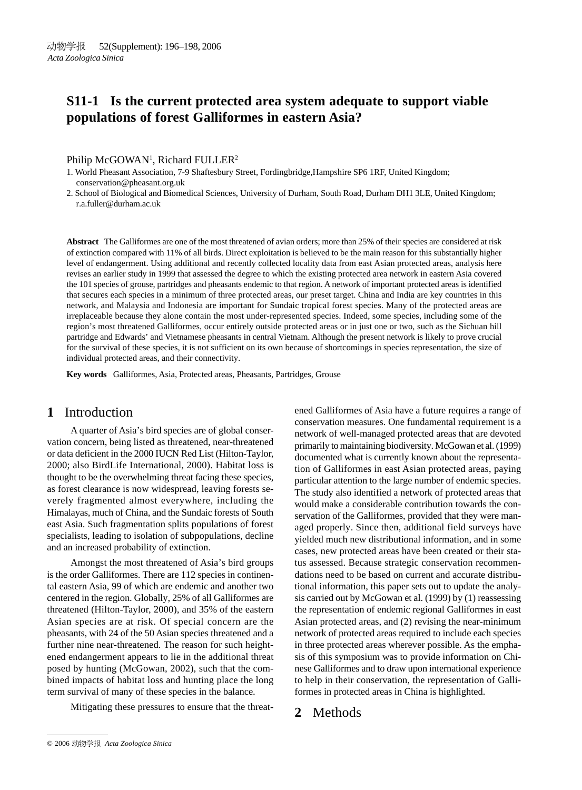# **S11-1 Is the current protected area system adequate to support viable populations of forest Galliformes in eastern Asia?**

### Philip McGOWAN<sup>1</sup>, Richard FULLER<sup>2</sup>

- 1. World Pheasant Association, 7-9 Shaftesbury Street, Fordingbridge,Hampshire SP6 1RF, United Kingdom; conservation@pheasant.org.uk
- 2. School of Biological and Biomedical Sciences, University of Durham, South Road, Durham DH1 3LE, United Kingdom; r.a.fuller@durham.ac.uk

**Abstract** The Galliformes are one of the most threatened of avian orders; more than 25% of their species are considered at risk of extinction compared with 11% of all birds. Direct exploitation is believed to be the main reason for this substantially higher level of endangerment. Using additional and recently collected locality data from east Asian protected areas, analysis here revises an earlier study in 1999 that assessed the degree to which the existing protected area network in eastern Asia covered the 101 species of grouse, partridges and pheasants endemic to that region. A network of important protected areas is identified that secures each species in a minimum of three protected areas, our preset target. China and India are key countries in this network, and Malaysia and Indonesia are important for Sundaic tropical forest species. Many of the protected areas are irreplaceable because they alone contain the most under-represented species. Indeed, some species, including some of the region's most threatened Galliformes, occur entirely outside protected areas or in just one or two, such as the Sichuan hill partridge and Edwards' and Vietnamese pheasants in central Vietnam. Although the present network is likely to prove crucial for the survival of these species, it is not sufficient on its own because of shortcomings in species representation, the size of individual protected areas, and their connectivity.

**Key words** Galliformes, Asia, Protected areas, Pheasants, Partridges, Grouse

# **1** Introduction

A quarter of Asia's bird species are of global conservation concern, being listed as threatened, near-threatened or data deficient in the 2000 IUCN Red List (Hilton-Taylor, 2000; also BirdLife International, 2000). Habitat loss is thought to be the overwhelming threat facing these species, as forest clearance is now widespread, leaving forests severely fragmented almost everywhere, including the Himalayas, much of China, and the Sundaic forests of South east Asia. Such fragmentation splits populations of forest specialists, leading to isolation of subpopulations, decline and an increased probability of extinction.

Amongst the most threatened of Asia's bird groups is the order Galliformes. There are 112 species in continental eastern Asia, 99 of which are endemic and another two centered in the region. Globally, 25% of all Galliformes are threatened (Hilton-Taylor, 2000), and 35% of the eastern Asian species are at risk. Of special concern are the pheasants, with 24 of the 50 Asian species threatened and a further nine near-threatened. The reason for such heightened endangerment appears to lie in the additional threat posed by hunting (McGowan, 2002), such that the combined impacts of habitat loss and hunting place the long term survival of many of these species in the balance.

Mitigating these pressures to ensure that the threat-

ened Galliformes of Asia have a future requires a range of conservation measures. One fundamental requirement is a network of well-managed protected areas that are devoted primarily to maintaining biodiversity. McGowan et al. (1999) documented what is currently known about the representation of Galliformes in east Asian protected areas, paying particular attention to the large number of endemic species. The study also identified a network of protected areas that would make a considerable contribution towards the conservation of the Galliformes, provided that they were managed properly. Since then, additional field surveys have yielded much new distributional information, and in some cases, new protected areas have been created or their status assessed. Because strategic conservation recommendations need to be based on current and accurate distributional information, this paper sets out to update the analysis carried out by McGowan et al. (1999) by (1) reassessing the representation of endemic regional Galliformes in east Asian protected areas, and (2) revising the near-minimum network of protected areas required to include each species in three protected areas wherever possible. As the emphasis of this symposium was to provide information on Chinese Galliformes and to draw upon international experience to help in their conservation, the representation of Galliformes in protected areas in China is highlighted.

# **2** Methods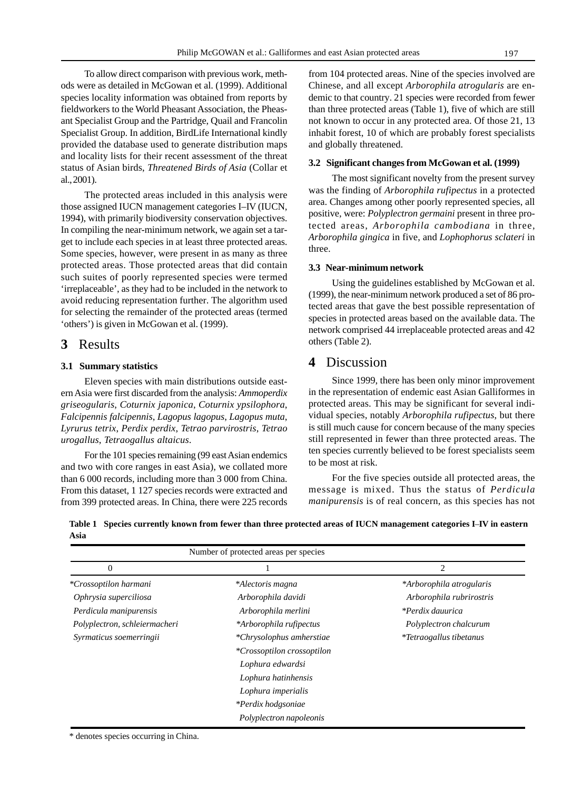To allow direct comparison with previous work, methods were as detailed in McGowan et al. (1999). Additional species locality information was obtained from reports by fieldworkers to the World Pheasant Association, the Pheasant Specialist Group and the Partridge, Quail and Francolin Specialist Group. In addition, BirdLife International kindly provided the database used to generate distribution maps and locality lists for their recent assessment of the threat status of Asian birds, *Threatened Birds of Asia* (Collar et al., 2001).

The protected areas included in this analysis were those assigned IUCN management categories I–IV (IUCN, 1994), with primarily biodiversity conservation objectives. In compiling the near-minimum network, we again set a target to include each species in at least three protected areas. Some species, however, were present in as many as three protected areas. Those protected areas that did contain such suites of poorly represented species were termed 'irreplaceable', as they had to be included in the network to avoid reducing representation further. The algorithm used for selecting the remainder of the protected areas (termed 'others') is given in McGowan et al. (1999).

## **3** Results

### **3.1 Summary statistics**

Eleven species with main distributions outside eastern Asia were first discarded from the analysis: *Ammoperdix griseogularis*, *Coturnix japonica*, *Coturnix ypsilophora*, *Falcipennis falcipennis*, *Lagopus lagopus*, *Lagopus muta*, *Lyrurus tetrix*, *Perdix perdix*, *Tetrao parvirostris*, *Tetrao urogallus*, *Tetraogallus altaicus*.

For the 101 species remaining (99 east Asian endemics and two with core ranges in east Asia), we collated more than 6 000 records, including more than 3 000 from China. From this dataset, 1 127 species records were extracted and from 399 protected areas. In China, there were 225 records

from 104 protected areas. Nine of the species involved are Chinese, and all except *Arborophila atrogularis* are endemic to that country. 21 species were recorded from fewer than three protected areas (Table 1), five of which are still not known to occur in any protected area. Of those 21, 13 inhabit forest, 10 of which are probably forest specialists and globally threatened.

### **3.2 Significant changes from McGowan et al. (1999)**

The most significant novelty from the present survey was the finding of *Arborophila rufipectus* in a protected area. Changes among other poorly represented species, all positive, were: *Polyplectron germaini* present in three protected areas, *Arborophila cambodiana* in three, *Arborophila gingica* in five, and *Lophophorus sclateri* in three.

#### **3.3 Near-minimum network**

Using the guidelines established by McGowan et al. (1999), the near-minimum network produced a set of 86 protected areas that gave the best possible representation of species in protected areas based on the available data. The network comprised 44 irreplaceable protected areas and 42 others (Table 2).

### **4** Discussion

Since 1999, there has been only minor improvement in the representation of endemic east Asian Galliformes in protected areas. This may be significant for several individual species, notably *Arborophila rufipectus*, but there is still much cause for concern because of the many species still represented in fewer than three protected areas. The ten species currently believed to be forest specialists seem to be most at risk.

For the five species outside all protected areas, the message is mixed. Thus the status of *Perdicula manipurensis* is of real concern, as this species has not

**Table 1 Species currently known from fewer than three protected areas of IUCN management categories I**–**IV in eastern Asia**

| Number of protected areas per species |                                   |                                |
|---------------------------------------|-----------------------------------|--------------------------------|
| 0                                     |                                   | 2                              |
| <i>*Crossoptilon harmani</i>          | *Alectoris magna                  | *Arborophila atrogularis       |
| Ophrysia superciliosa                 | Arborophila davidi                | Arborophila rubrirostris       |
| Perdicula manipurensis                | Arborophila merlini               | <i>*Perdix dauurica</i>        |
| Polyplectron, schleiermacheri         | *Arborophila rufipectus           | Polyplectron chalcurum         |
| Syrmaticus soemerringii               | *Chrysolophus amherstiae          | <i>*Tetraogallus tibetanus</i> |
|                                       | <i>*Crossoptilon crossoptilon</i> |                                |
|                                       | Lophura edwardsi                  |                                |
|                                       | Lophura hatinhensis               |                                |
|                                       | Lophura imperialis                |                                |
|                                       | *Perdix hodgsoniae                |                                |
|                                       | Polyplectron napoleonis           |                                |

\* denotes species occurring in China.